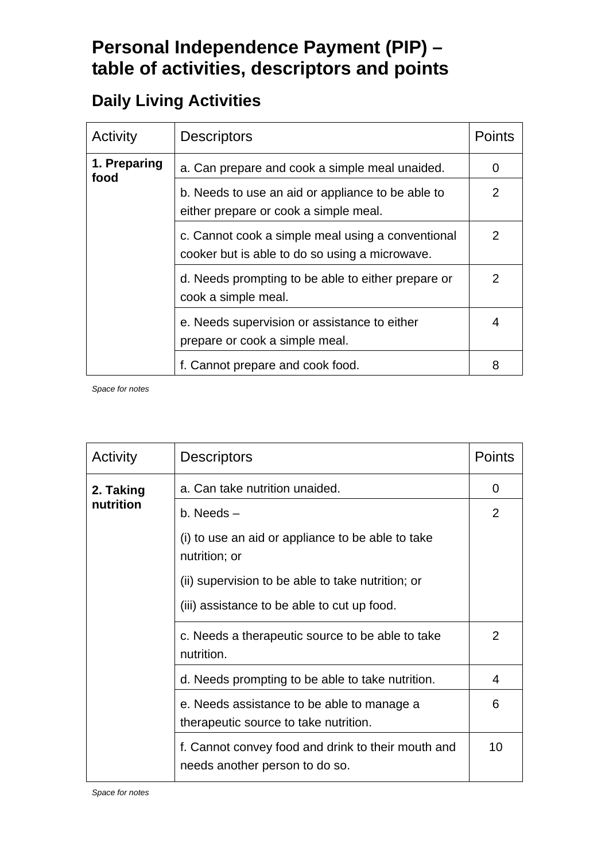## **Personal Independence Payment (PIP) – table of activities, descriptors and points**

## **Daily Living Activities**

| Activity             | <b>Descriptors</b>                                                                                  | <b>Points</b>  |
|----------------------|-----------------------------------------------------------------------------------------------------|----------------|
| 1. Preparing<br>food | a. Can prepare and cook a simple meal unaided.                                                      | 0              |
|                      | b. Needs to use an aid or appliance to be able to<br>either prepare or cook a simple meal.          | 2              |
|                      | c. Cannot cook a simple meal using a conventional<br>cooker but is able to do so using a microwave. | $\overline{2}$ |
|                      | d. Needs prompting to be able to either prepare or<br>cook a simple meal.                           | $\overline{2}$ |
|                      | e. Needs supervision or assistance to either<br>prepare or cook a simple meal.                      | 4              |
|                      | f. Cannot prepare and cook food.                                                                    | 8              |

| Activity  | <b>Descriptors</b>                                                                   | <b>Points</b>  |
|-----------|--------------------------------------------------------------------------------------|----------------|
| 2. Taking | a. Can take nutrition unaided.                                                       | 0              |
| nutrition | $b.$ Needs $-$                                                                       | $\overline{2}$ |
|           | (i) to use an aid or appliance to be able to take<br>nutrition; or                   |                |
|           | (ii) supervision to be able to take nutrition; or                                    |                |
|           | (iii) assistance to be able to cut up food.                                          |                |
|           | c. Needs a therapeutic source to be able to take<br>nutrition.                       | $\overline{2}$ |
|           | d. Needs prompting to be able to take nutrition.                                     | 4              |
|           | e. Needs assistance to be able to manage a<br>therapeutic source to take nutrition.  | 6              |
|           | f. Cannot convey food and drink to their mouth and<br>needs another person to do so. | 10             |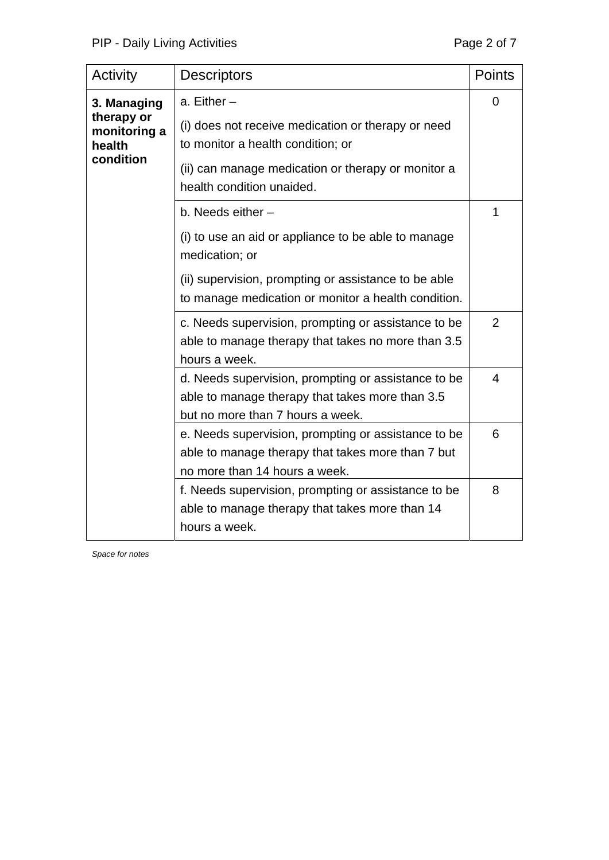| Activity                             | <b>Descriptors</b>                                                                                                                         | <b>Points</b>  |
|--------------------------------------|--------------------------------------------------------------------------------------------------------------------------------------------|----------------|
| 3. Managing                          | a. Either $-$                                                                                                                              | 0              |
| therapy or<br>monitoring a<br>health | (i) does not receive medication or therapy or need<br>to monitor a health condition; or                                                    |                |
| condition                            | (ii) can manage medication or therapy or monitor a<br>health condition unaided.                                                            |                |
|                                      | b. Needs either -                                                                                                                          | 1              |
|                                      | (i) to use an aid or appliance to be able to manage<br>medication; or                                                                      |                |
|                                      | (ii) supervision, prompting or assistance to be able<br>to manage medication or monitor a health condition.                                |                |
|                                      | c. Needs supervision, prompting or assistance to be<br>able to manage therapy that takes no more than 3.5<br>hours a week.                 | $\overline{2}$ |
|                                      | d. Needs supervision, prompting or assistance to be<br>able to manage therapy that takes more than 3.5<br>but no more than 7 hours a week. | $\overline{4}$ |
|                                      | e. Needs supervision, prompting or assistance to be<br>able to manage therapy that takes more than 7 but<br>no more than 14 hours a week.  | 6              |
|                                      | f. Needs supervision, prompting or assistance to be<br>able to manage therapy that takes more than 14<br>hours a week.                     | 8              |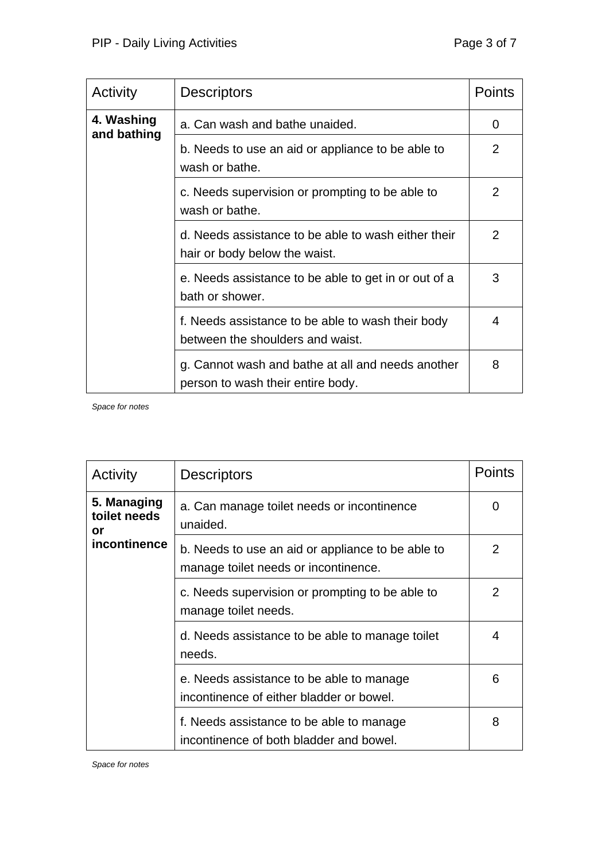| Activity                  | <b>Descriptors</b>                                                                     | <b>Points</b> |
|---------------------------|----------------------------------------------------------------------------------------|---------------|
| 4. Washing<br>and bathing | a. Can wash and bathe unaided.                                                         | 0             |
|                           | b. Needs to use an aid or appliance to be able to<br>wash or bathe.                    | 2             |
|                           | c. Needs supervision or prompting to be able to<br>wash or bathe.                      | 2             |
|                           | d. Needs assistance to be able to wash either their<br>hair or body below the waist.   | 2             |
|                           | e. Needs assistance to be able to get in or out of a<br>bath or shower.                | 3             |
|                           | f. Needs assistance to be able to wash their body<br>between the shoulders and waist.  | 4             |
|                           | g. Cannot wash and bathe at all and needs another<br>person to wash their entire body. | 8             |

| Activity                          | <b>Descriptors</b>                                                                        | <b>Points</b>  |
|-----------------------------------|-------------------------------------------------------------------------------------------|----------------|
| 5. Managing<br>toilet needs<br>or | a. Can manage toilet needs or incontinence<br>unaided.                                    | 0              |
| <i>incontinence</i>               | b. Needs to use an aid or appliance to be able to<br>manage toilet needs or incontinence. | 2              |
|                                   | c. Needs supervision or prompting to be able to<br>manage toilet needs.                   | $\overline{2}$ |
|                                   | d. Needs assistance to be able to manage toilet<br>needs.                                 | 4              |
|                                   | e. Needs assistance to be able to manage<br>incontinence of either bladder or bowel.      | 6              |
|                                   | f. Needs assistance to be able to manage<br>incontinence of both bladder and bowel.       | 8              |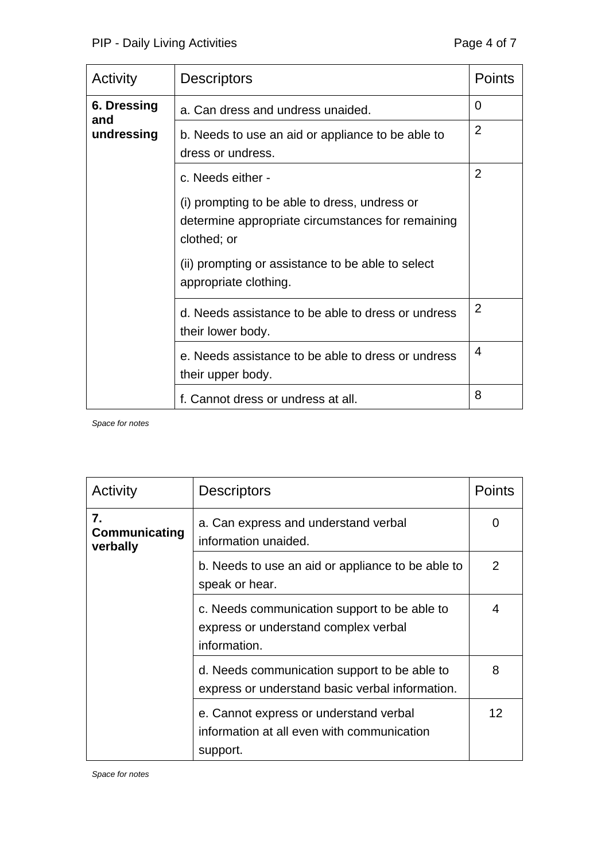| Activity           | <b>Descriptors</b>                                                                                                | <b>Points</b>  |
|--------------------|-------------------------------------------------------------------------------------------------------------------|----------------|
| 6. Dressing<br>and | a. Can dress and undress unaided.                                                                                 | 0              |
| undressing         | b. Needs to use an aid or appliance to be able to<br>dress or undress.                                            | $\overline{2}$ |
|                    | c. Needs either -                                                                                                 | $\overline{2}$ |
|                    | (i) prompting to be able to dress, undress or<br>determine appropriate circumstances for remaining<br>clothed; or |                |
|                    | (ii) prompting or assistance to be able to select<br>appropriate clothing.                                        |                |
|                    | d. Needs assistance to be able to dress or undress<br>their lower body.                                           | $\overline{2}$ |
|                    | e. Needs assistance to be able to dress or undress<br>their upper body.                                           | 4              |
|                    | f. Cannot dress or undress at all.                                                                                | 8              |

| Activity                        | <b>Descriptors</b>                                                                                   | Points            |
|---------------------------------|------------------------------------------------------------------------------------------------------|-------------------|
| 7.<br>Communicating<br>verbally | a. Can express and understand verbal<br>information unaided.                                         | 0                 |
|                                 | b. Needs to use an aid or appliance to be able to<br>speak or hear.                                  | 2                 |
|                                 | c. Needs communication support to be able to<br>express or understand complex verbal<br>information. | 4                 |
|                                 | d. Needs communication support to be able to<br>express or understand basic verbal information.      | 8                 |
|                                 | e. Cannot express or understand verbal<br>information at all even with communication<br>support.     | $12 \overline{ }$ |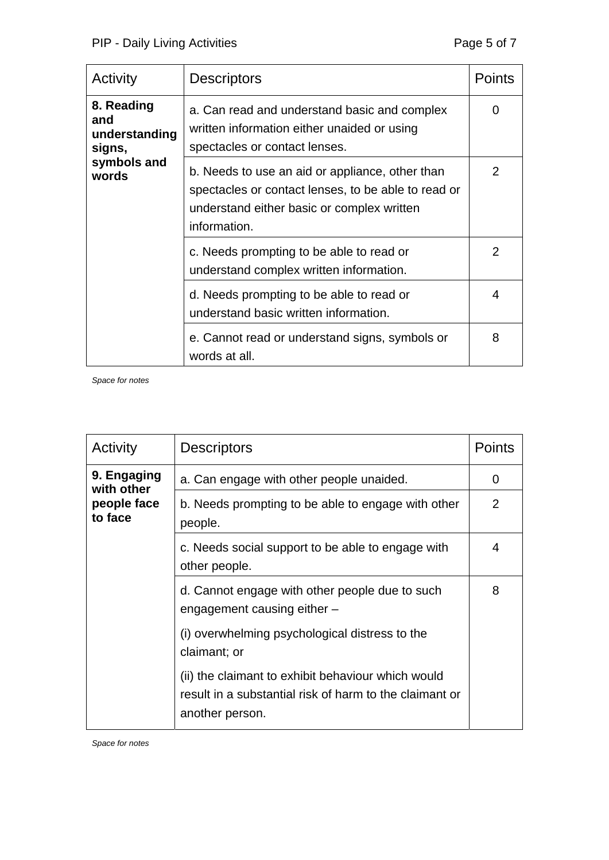| Activity                                              | <b>Descriptors</b>                                                                                                                                   | <b>Points</b>  |
|-------------------------------------------------------|------------------------------------------------------------------------------------------------------------------------------------------------------|----------------|
| 8. Reading<br>and<br>understanding<br>signs,          | a. Can read and understand basic and complex<br>written information either unaided or using<br>spectacles or contact lenses.                         | 0              |
| symbols and<br>words<br>information.<br>words at all. | b. Needs to use an aid or appliance, other than<br>spectacles or contact lenses, to be able to read or<br>understand either basic or complex written | $\overline{2}$ |
|                                                       | c. Needs prompting to be able to read or<br>understand complex written information.                                                                  | $\overline{2}$ |
|                                                       | d. Needs prompting to be able to read or<br>understand basic written information.                                                                    | 4              |
|                                                       | e. Cannot read or understand signs, symbols or                                                                                                       | 8              |

| Activity                  | <b>Descriptors</b>                                                                                                               | Points         |
|---------------------------|----------------------------------------------------------------------------------------------------------------------------------|----------------|
| 9. Engaging<br>with other | a. Can engage with other people unaided.                                                                                         | 0              |
| people face<br>to face    | b. Needs prompting to be able to engage with other<br>people.                                                                    | $\overline{2}$ |
|                           | c. Needs social support to be able to engage with<br>other people.                                                               | 4              |
|                           | d. Cannot engage with other people due to such<br>engagement causing either -                                                    | 8              |
|                           | (i) overwhelming psychological distress to the<br>claimant; or                                                                   |                |
|                           | (ii) the claimant to exhibit behaviour which would<br>result in a substantial risk of harm to the claimant or<br>another person. |                |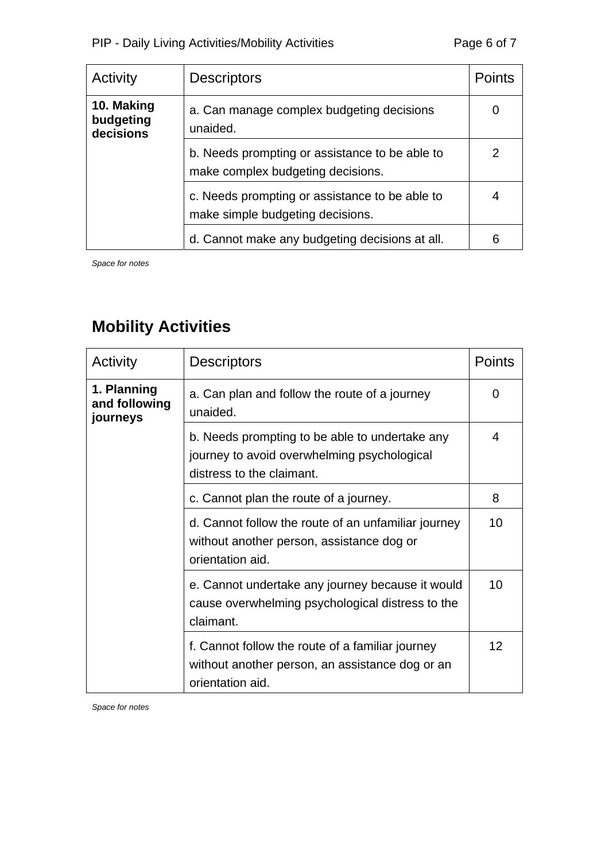| Activity                             | <b>Descriptors</b>                                                                  | Points |
|--------------------------------------|-------------------------------------------------------------------------------------|--------|
| 10. Making<br>budgeting<br>decisions | a. Can manage complex budgeting decisions<br>unaided.                               |        |
|                                      | b. Needs prompting or assistance to be able to<br>make complex budgeting decisions. | 2      |
|                                      | c. Needs prompting or assistance to be able to<br>make simple budgeting decisions.  |        |
|                                      | d. Cannot make any budgeting decisions at all.                                      | 6      |

## **Mobility Activities**

| Activity                                 | <b>Descriptors</b>                                                                                                         | Points |
|------------------------------------------|----------------------------------------------------------------------------------------------------------------------------|--------|
| 1. Planning<br>and following<br>journeys | a. Can plan and follow the route of a journey<br>unaided.                                                                  | 0      |
|                                          | b. Needs prompting to be able to undertake any<br>journey to avoid overwhelming psychological<br>distress to the claimant. | 4      |
|                                          | c. Cannot plan the route of a journey.                                                                                     | 8      |
|                                          | d. Cannot follow the route of an unfamiliar journey<br>without another person, assistance dog or<br>orientation aid.       | 10     |
|                                          | e. Cannot undertake any journey because it would<br>cause overwhelming psychological distress to the<br>claimant.          | 10     |
|                                          | f. Cannot follow the route of a familiar journey<br>without another person, an assistance dog or an<br>orientation aid.    | 12     |